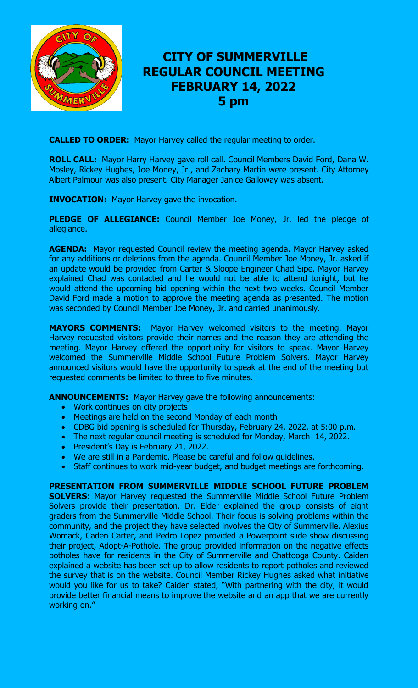

# **CITY OF SUMMERVILLE REGULAR COUNCIL MEETING FEBRUARY 14, 2022 5 pm**

**CALLED TO ORDER:** Mayor Harvey called the regular meeting to order.

**ROLL CALL:** Mayor Harry Harvey gave roll call. Council Members David Ford, Dana W. Mosley, Rickey Hughes, Joe Money, Jr., and Zachary Martin were present. City Attorney Albert Palmour was also present. City Manager Janice Galloway was absent.

**INVOCATION:** Mayor Harvey gave the invocation.

**PLEDGE OF ALLEGIANCE:** Council Member Joe Money, Jr. led the pledge of allegiance.

**AGENDA:** Mayor requested Council review the meeting agenda. Mayor Harvey asked for any additions or deletions from the agenda. Council Member Joe Money, Jr. asked if an update would be provided from Carter & Sloope Engineer Chad Sipe. Mayor Harvey explained Chad was contacted and he would not be able to attend tonight, but he would attend the upcoming bid opening within the next two weeks. Council Member David Ford made a motion to approve the meeting agenda as presented. The motion was seconded by Council Member Joe Money, Jr. and carried unanimously.

**MAYORS COMMENTS:** Mayor Harvey welcomed visitors to the meeting. Mayor Harvey requested visitors provide their names and the reason they are attending the meeting. Mayor Harvey offered the opportunity for visitors to speak. Mayor Harvey welcomed the Summerville Middle School Future Problem Solvers. Mayor Harvey announced visitors would have the opportunity to speak at the end of the meeting but requested comments be limited to three to five minutes.

**ANNOUNCEMENTS:** Mayor Harvey gave the following announcements:

- Work continues on city projects
- Meetings are held on the second Monday of each month
- CDBG bid opening is scheduled for Thursday, February 24, 2022, at 5:00 p.m.
- The next regular council meeting is scheduled for Monday, March 14, 2022.
- President's Day is February 21, 2022.
- We are still in a Pandemic. Please be careful and follow guidelines.
- Staff continues to work mid-year budget, and budget meetings are forthcoming.

**PRESENTATION FROM SUMMERVILLE MIDDLE SCHOOL FUTURE PROBLEM SOLVERS**: Mayor Harvey requested the Summerville Middle School Future Problem Solvers provide their presentation. Dr. Elder explained the group consists of eight graders from the Summerville Middle School. Their focus is solving problems within the community, and the project they have selected involves the City of Summerville. Alexius Womack, Caden Carter, and Pedro Lopez provided a Powerpoint slide show discussing their project, Adopt-A-Pothole. The group provided information on the negative effects potholes have for residents in the City of Summerville and Chattooga County. Caiden explained a website has been set up to allow residents to report potholes and reviewed the survey that is on the website. Council Member Rickey Hughes asked what initiative would you like for us to take? Caiden stated, "With partnering with the city, it would provide better financial means to improve the website and an app that we are currently working on."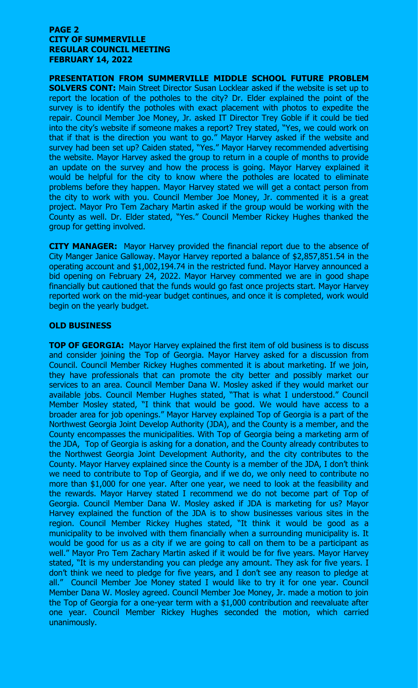## **PAGE 2 CITY OF SUMMERVILLE REGULAR COUNCIL MEETING FEBRUARY 14, 2022**

**PRESENTATION FROM SUMMERVILLE MIDDLE SCHOOL FUTURE PROBLEM SOLVERS CONT:** Main Street Director Susan Locklear asked if the website is set up to report the location of the potholes to the city? Dr. Elder explained the point of the survey is to identify the potholes with exact placement with photos to expedite the repair. Council Member Joe Money, Jr. asked IT Director Trey Goble if it could be tied into the city's website if someone makes a report? Trey stated, "Yes, we could work on that if that is the direction you want to go." Mayor Harvey asked if the website and survey had been set up? Caiden stated, "Yes." Mayor Harvey recommended advertising the website. Mayor Harvey asked the group to return in a couple of months to provide an update on the survey and how the process is going. Mayor Harvey explained it would be helpful for the city to know where the potholes are located to eliminate problems before they happen. Mayor Harvey stated we will get a contact person from the city to work with you. Council Member Joe Money, Jr. commented it is a great project. Mayor Pro Tem Zachary Martin asked if the group would be working with the County as well. Dr. Elder stated, "Yes." Council Member Rickey Hughes thanked the group for getting involved.

**CITY MANAGER:** Mayor Harvey provided the financial report due to the absence of City Manger Janice Galloway. Mayor Harvey reported a balance of \$2,857,851.54 in the operating account and \$1,002,194.74 in the restricted fund. Mayor Harvey announced a bid opening on February 24, 2022. Mayor Harvey commented we are in good shape financially but cautioned that the funds would go fast once projects start. Mayor Harvey reported work on the mid-year budget continues, and once it is completed, work would begin on the yearly budget.

# **OLD BUSINESS**

**TOP OF GEORGIA:** Mayor Harvey explained the first item of old business is to discuss and consider joining the Top of Georgia. Mayor Harvey asked for a discussion from Council. Council Member Rickey Hughes commented it is about marketing. If we join, they have professionals that can promote the city better and possibly market our services to an area. Council Member Dana W. Mosley asked if they would market our available jobs. Council Member Hughes stated, "That is what I understood." Council Member Mosley stated, "I think that would be good. We would have access to a broader area for job openings." Mayor Harvey explained Top of Georgia is a part of the Northwest Georgia Joint Develop Authority (JDA), and the County is a member, and the County encompasses the municipalities. With Top of Georgia being a marketing arm of the JDA, Top of Georgia is asking for a donation, and the County already contributes to the Northwest Georgia Joint Development Authority, and the city contributes to the County. Mayor Harvey explained since the County is a member of the JDA, I don't think we need to contribute to Top of Georgia, and if we do, we only need to contribute no more than \$1,000 for one year. After one year, we need to look at the feasibility and the rewards. Mayor Harvey stated I recommend we do not become part of Top of Georgia. Council Member Dana W. Mosley asked if JDA is marketing for us? Mayor Harvey explained the function of the JDA is to show businesses various sites in the region. Council Member Rickey Hughes stated, "It think it would be good as a municipality to be involved with them financially when a surrounding municipality is. It would be good for us as a city if we are going to call on them to be a participant as well." Mayor Pro Tem Zachary Martin asked if it would be for five years. Mayor Harvey stated, "It is my understanding you can pledge any amount. They ask for five years. I don't think we need to pledge for five years, and I don't see any reason to pledge at all." Council Member Joe Money stated I would like to try it for one year. Council Member Dana W. Mosley agreed. Council Member Joe Money, Jr. made a motion to join the Top of Georgia for a one-year term with a \$1,000 contribution and reevaluate after one year. Council Member Rickey Hughes seconded the motion, which carried unanimously.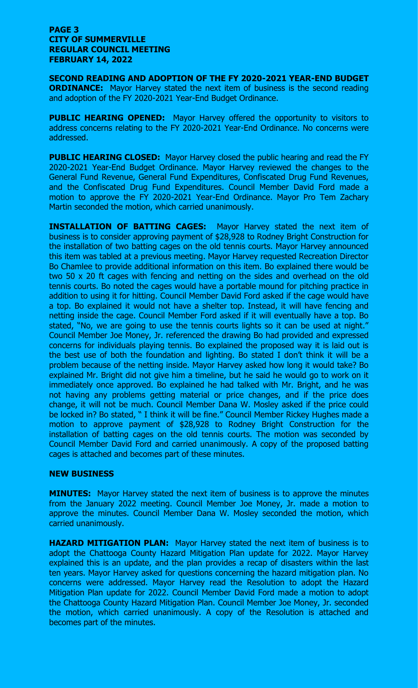# **PAGE 3 CITY OF SUMMERVILLE REGULAR COUNCIL MEETING FEBRUARY 14, 2022**

**SECOND READING AND ADOPTION OF THE FY 2020-2021 YEAR-END BUDGET ORDINANCE:** Mayor Harvey stated the next item of business is the second reading and adoption of the FY 2020-2021 Year-End Budget Ordinance.

**PUBLIC HEARING OPENED:** Mayor Harvey offered the opportunity to visitors to address concerns relating to the FY 2020-2021 Year-End Ordinance. No concerns were addressed.

**PUBLIC HEARING CLOSED:** Mayor Harvey closed the public hearing and read the FY 2020-2021 Year-End Budget Ordinance. Mayor Harvey reviewed the changes to the General Fund Revenue, General Fund Expenditures, Confiscated Drug Fund Revenues, and the Confiscated Drug Fund Expenditures. Council Member David Ford made a motion to approve the FY 2020-2021 Year-End Ordinance. Mayor Pro Tem Zachary Martin seconded the motion, which carried unanimously.

**INSTALLATION OF BATTING CAGES:** Mayor Harvey stated the next item of business is to consider approving payment of \$28,928 to Rodney Bright Construction for the installation of two batting cages on the old tennis courts. Mayor Harvey announced this item was tabled at a previous meeting. Mayor Harvey requested Recreation Director Bo Chamlee to provide additional information on this item. Bo explained there would be two 50 x 20 ft cages with fencing and netting on the sides and overhead on the old tennis courts. Bo noted the cages would have a portable mound for pitching practice in addition to using it for hitting. Council Member David Ford asked if the cage would have a top. Bo explained it would not have a shelter top. Instead, it will have fencing and netting inside the cage. Council Member Ford asked if it will eventually have a top. Bo stated, "No, we are going to use the tennis courts lights so it can be used at night." Council Member Joe Money, Jr. referenced the drawing Bo had provided and expressed concerns for individuals playing tennis. Bo explained the proposed way it is laid out is the best use of both the foundation and lighting. Bo stated I don't think it will be a problem because of the netting inside. Mayor Harvey asked how long it would take? Bo explained Mr. Bright did not give him a timeline, but he said he would go to work on it immediately once approved. Bo explained he had talked with Mr. Bright, and he was not having any problems getting material or price changes, and if the price does change, it will not be much. Council Member Dana W. Mosley asked if the price could be locked in? Bo stated, " I think it will be fine." Council Member Rickey Hughes made a motion to approve payment of \$28,928 to Rodney Bright Construction for the installation of batting cages on the old tennis courts. The motion was seconded by Council Member David Ford and carried unanimously. A copy of the proposed batting cages is attached and becomes part of these minutes.

# **NEW BUSINESS**

**MINUTES:** Mayor Harvey stated the next item of business is to approve the minutes from the January 2022 meeting. Council Member Joe Money, Jr. made a motion to approve the minutes. Council Member Dana W. Mosley seconded the motion, which carried unanimously.

**HAZARD MITIGATION PLAN:** Mayor Harvey stated the next item of business is to adopt the Chattooga County Hazard Mitigation Plan update for 2022. Mayor Harvey explained this is an update, and the plan provides a recap of disasters within the last ten years. Mayor Harvey asked for questions concerning the hazard mitigation plan. No concerns were addressed. Mayor Harvey read the Resolution to adopt the Hazard Mitigation Plan update for 2022. Council Member David Ford made a motion to adopt the Chattooga County Hazard Mitigation Plan. Council Member Joe Money, Jr. seconded the motion, which carried unanimously. A copy of the Resolution is attached and becomes part of the minutes.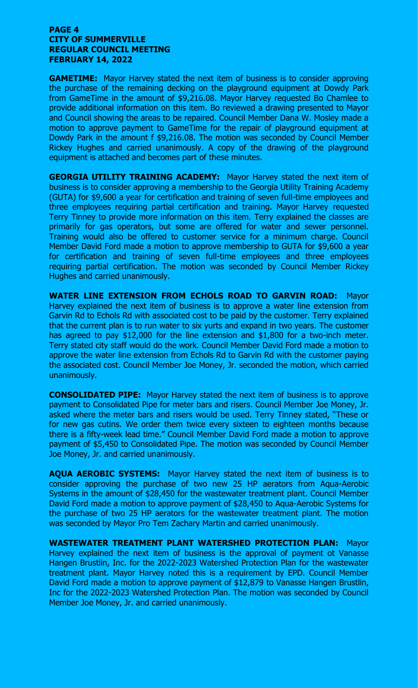# **PAGE 4 CITY OF SUMMERVILLE REGULAR COUNCIL MEETING FEBRUARY 14, 2022**

**GAMETIME:** Mayor Harvey stated the next item of business is to consider approving the purchase of the remaining decking on the playground equipment at Dowdy Park from GameTime in the amount of \$9,216.08. Mayor Harvey requested Bo Chamlee to provide additional information on this item. Bo reviewed a drawing presented to Mayor and Council showing the areas to be repaired. Council Member Dana W. Mosley made a motion to approve payment to GameTime for the repair of playground equipment at Dowdy Park in the amount f \$9,216.08. The motion was seconded by Council Member Rickey Hughes and carried unanimously. A copy of the drawing of the playground equipment is attached and becomes part of these minutes.

**GEORGIA UTILITY TRAINING ACADEMY:** Mayor Harvey stated the next item of business is to consider approving a membership to the Georgia Utility Training Academy (GUTA) for \$9,600 a year for certification and training of seven full-time employees and three employees requiring partial certification and training. Mayor Harvey requested Terry Tinney to provide more information on this item. Terry explained the classes are primarily for gas operators, but some are offered for water and sewer personnel. Training would also be offered to customer service for a minimum charge. Council Member David Ford made a motion to approve membership to GUTA for \$9,600 a year for certification and training of seven full-time employees and three employees requiring partial certification. The motion was seconded by Council Member Rickey Hughes and carried unanimously.

**WATER LINE EXTENSION FROM ECHOLS ROAD TO GARVIN ROAD:** Mayor Harvey explained the next item of business is to approve a water line extension from Garvin Rd to Echols Rd with associated cost to be paid by the customer. Terry explained that the current plan is to run water to six yurts and expand in two years. The customer has agreed to pay \$12,000 for the line extension and \$1,800 for a two-inch meter. Terry stated city staff would do the work. Council Member David Ford made a motion to approve the water line extension from Echols Rd to Garvin Rd with the customer paying the associated cost. Council Member Joe Money, Jr. seconded the motion, which carried unanimously.

**CONSOLIDATED PIPE:** Mayor Harvey stated the next item of business is to approve payment to Consolidated Pipe for meter bars and risers. Council Member Joe Money, Jr. asked where the meter bars and risers would be used. Terry Tinney stated, "These or for new gas cutins. We order them twice every sixteen to eighteen months because there is a fifty-week lead time." Council Member David Ford made a motion to approve payment of \$5,450 to Consolidated Pipe. The motion was seconded by Council Member Joe Money, Jr. and carried unanimously.

**AQUA AEROBIC SYSTEMS:** Mayor Harvey stated the next item of business is to consider approving the purchase of two new 25 HP aerators from Aqua-Aerobic Systems in the amount of \$28,450 for the wastewater treatment plant. Council Member David Ford made a motion to approve payment of \$28,450 to Aqua-Aerobic Systems for the purchase of two 25 HP aerators for the wastewater treatment plant. The motion was seconded by Mayor Pro Tem Zachary Martin and carried unanimously.

**WASTEWATER TREATMENT PLANT WATERSHED PROTECTION PLAN:** Mayor Harvey explained the next item of business is the approval of payment ot Vanasse Hangen Brustlin, Inc. for the 2022-2023 Watershed Protection Plan for the wastewater treatment plant. Mayor Harvey noted this is a requirement by EPD. Council Member David Ford made a motion to approve payment of \$12,879 to Vanasse Hangen Brustlin, Inc for the 2022-2023 Watershed Protection Plan. The motion was seconded by Council Member Joe Money, Jr. and carried unanimously.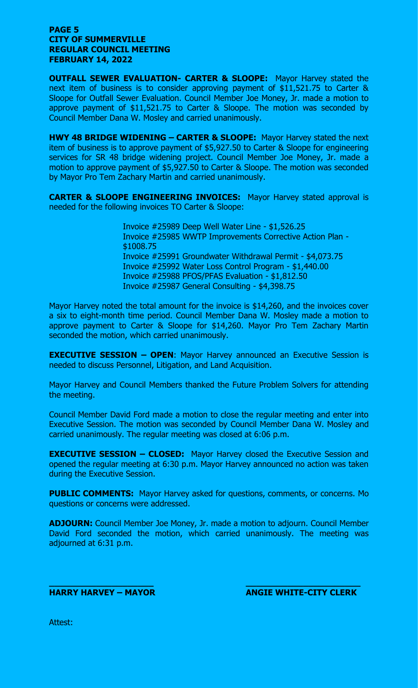## **PAGE 5 CITY OF SUMMERVILLE REGULAR COUNCIL MEETING FEBRUARY 14, 2022**

**OUTFALL SEWER EVALUATION- CARTER & SLOOPE:** Mayor Harvey stated the next item of business is to consider approving payment of \$11,521.75 to Carter & Sloope for Outfall Sewer Evaluation. Council Member Joe Money, Jr. made a motion to approve payment of \$11,521.75 to Carter & Sloope. The motion was seconded by Council Member Dana W. Mosley and carried unanimously.

**HWY 48 BRIDGE WIDENING – CARTER & SLOOPE:** Mayor Harvey stated the next item of business is to approve payment of \$5,927.50 to Carter & Sloope for engineering services for SR 48 bridge widening project. Council Member Joe Money, Jr. made a motion to approve payment of \$5,927.50 to Carter & Sloope. The motion was seconded by Mayor Pro Tem Zachary Martin and carried unanimously.

**CARTER & SLOOPE ENGINEERING INVOICES:** Mayor Harvey stated approval is needed for the following invoices TO Carter & Sloope:

> Invoice #25989 Deep Well Water Line - \$1,526.25 Invoice #25985 WWTP Improvements Corrective Action Plan - \$1008.75 Invoice #25991 Groundwater Withdrawal Permit - \$4,073.75 Invoice #25992 Water Loss Control Program - \$1,440.00 Invoice #25988 PFOS/PFAS Evaluation - \$1,812.50 Invoice #25987 General Consulting - \$4,398.75

Mayor Harvey noted the total amount for the invoice is \$14,260, and the invoices cover a six to eight-month time period. Council Member Dana W. Mosley made a motion to approve payment to Carter & Sloope for \$14,260. Mayor Pro Tem Zachary Martin seconded the motion, which carried unanimously.

**EXECUTIVE SESSION – OPEN**: Mayor Harvey announced an Executive Session is needed to discuss Personnel, Litigation, and Land Acquisition.

Mayor Harvey and Council Members thanked the Future Problem Solvers for attending the meeting.

Council Member David Ford made a motion to close the regular meeting and enter into Executive Session. The motion was seconded by Council Member Dana W. Mosley and carried unanimously. The regular meeting was closed at 6:06 p.m.

**EXECUTIVE SESSION – CLOSED:** Mayor Harvey closed the Executive Session and opened the regular meeting at 6:30 p.m. Mayor Harvey announced no action was taken during the Executive Session.

**PUBLIC COMMENTS:** Mayor Harvey asked for questions, comments, or concerns. Mo questions or concerns were addressed.

**ADJOURN:** Council Member Joe Money, Jr. made a motion to adjourn. Council Member David Ford seconded the motion, which carried unanimously. The meeting was adjourned at 6:31 p.m.

**\_\_\_\_\_\_\_\_\_\_\_\_\_\_\_\_\_\_\_\_ \_\_\_\_\_\_\_\_\_\_\_\_\_\_\_\_\_\_\_\_\_\_**

**HARRY HARVEY – MAYOR ANGIE WHITE-CITY CLERK**

Attest: